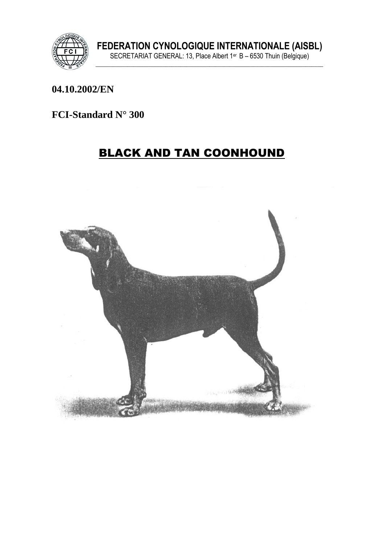

#### 04.10.2002/EN

# FCI-Standard  $N^{\circ}$  300

# **BLACK AND TAN COONHOUND**

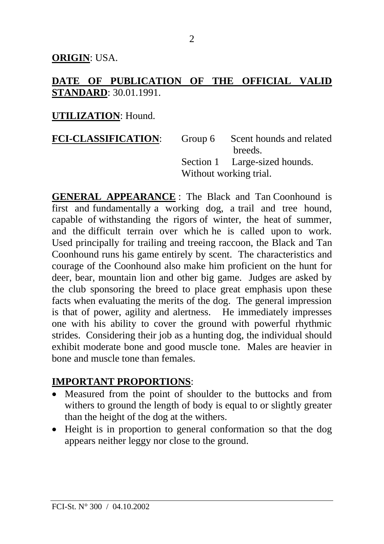**ORIGIN**: USA.

#### **DATE OF PUBLICATION OF THE OFFICIAL VALID STANDARD**: 30.01.1991.

#### **UTILIZATION**: Hound.

| <b>FCI-CLASSIFICATION:</b> |                        | Group 6 Scent hounds and related |
|----------------------------|------------------------|----------------------------------|
|                            |                        | breeds.                          |
|                            |                        | Section 1 Large-sized hounds.    |
|                            | Without working trial. |                                  |

**GENERAL APPEARANCE** : The Black and Tan Coonhound is first and fundamentally a working dog, a trail and tree hound, capable of withstanding the rigors of winter, the heat of summer, and the difficult terrain over which he is called upon to work. Used principally for trailing and treeing raccoon, the Black and Tan Coonhound runs his game entirely by scent. The characteristics and courage of the Coonhound also make him proficient on the hunt for deer, bear, mountain lion and other big game. Judges are asked by the club sponsoring the breed to place great emphasis upon these facts when evaluating the merits of the dog. The general impression is that of power, agility and alertness. He immediately impresses one with his ability to cover the ground with powerful rhythmic strides. Considering their job as a hunting dog, the individual should exhibit moderate bone and good muscle tone. Males are heavier in bone and muscle tone than females.

#### **IMPORTANT PROPORTIONS**:

- Measured from the point of shoulder to the buttocks and from withers to ground the length of body is equal to or slightly greater than the height of the dog at the withers.
- Height is in proportion to general conformation so that the dog appears neither leggy nor close to the ground.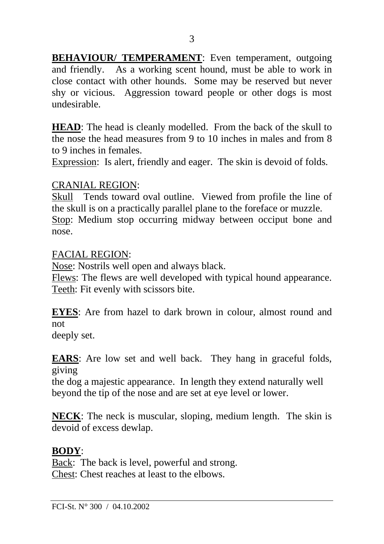**BEHAVIOUR/ TEMPERAMENT:** Even temperament, outgoing and friendly. As a working scent hound, must be able to work in close contact with other hounds. Some may be reserved but never shy or vicious. Aggression toward people or other dogs is most undesirable.

**HEAD**: The head is cleanly modelled. From the back of the skull to the nose the head measures from 9 to 10 inches in males and from 8 to 9 inches in females.

Expression: Is alert, friendly and eager. The skin is devoid of folds.

#### CRANIAL REGION:

Skull Tends toward oval outline. Viewed from profile the line of the skull is on a practically parallel plane to the foreface or muzzle. Stop: Medium stop occurring midway between occiput bone and nose.

## FACIAL REGION:

Nose: Nostrils well open and always black.

Flews: The flews are well developed with typical hound appearance. Teeth: Fit evenly with scissors bite.

**EYES**: Are from hazel to dark brown in colour, almost round and not

deeply set.

**EARS**: Are low set and well back. They hang in graceful folds, giving

the dog a majestic appearance. In length they extend naturally well beyond the tip of the nose and are set at eye level or lower.

**NECK**: The neck is muscular, sloping, medium length. The skin is devoid of excess dewlap.

# **BODY**:

Back: The back is level, powerful and strong. Chest: Chest reaches at least to the elbows.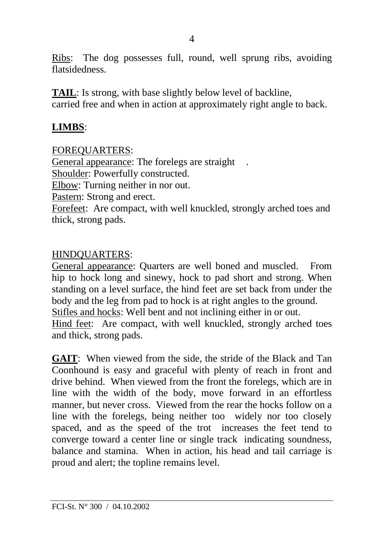Ribs: The dog possesses full, round, well sprung ribs, avoiding flatsidedness.

**TAIL**: Is strong, with base slightly below level of backline, carried free and when in action at approximately right angle to back.

#### **LIMBS**:

FOREQUARTERS:

General appearance: The forelegs are straight

Shoulder: Powerfully constructed.

Elbow: Turning neither in nor out.

Pastern: Strong and erect.

Forefeet: Are compact, with well knuckled, strongly arched toes and thick, strong pads.

## HINDQUARTERS:

General appearance: Quarters are well boned and muscled. From hip to hock long and sinewy, hock to pad short and strong. When standing on a level surface, the hind feet are set back from under the body and the leg from pad to hock is at right angles to the ground. Stifles and hocks: Well bent and not inclining either in or out. Hind feet: Are compact, with well knuckled, strongly arched toes and thick, strong pads.

**GAIT**: When viewed from the side, the stride of the Black and Tan Coonhound is easy and graceful with plenty of reach in front and drive behind. When viewed from the front the forelegs, which are in line with the width of the body, move forward in an effortless manner, but never cross. Viewed from the rear the hocks follow on a line with the forelegs, being neither too widely nor too closely spaced, and as the speed of the trot increases the feet tend to converge toward a center line or single track indicating soundness, balance and stamina. When in action, his head and tail carriage is proud and alert; the topline remains level.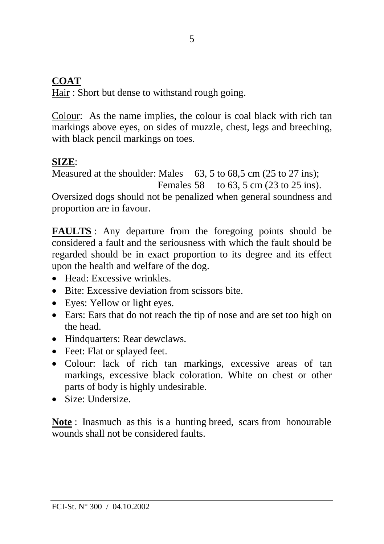# **COAT**

Hair : Short but dense to withstand rough going.

Colour: As the name implies, the colour is coal black with rich tan markings above eyes, on sides of muzzle, chest, legs and breeching, with black pencil markings on toes.

# **SIZE**:

Measured at the shoulder: Males 63, 5 to 68,5 cm (25 to 27 ins); Females 58 to 63, 5 cm (23 to 25 ins).

Oversized dogs should not be penalized when general soundness and proportion are in favour.

**FAULTS** : Any departure from the foregoing points should be considered a fault and the seriousness with which the fault should be regarded should be in exact proportion to its degree and its effect upon the health and welfare of the dog.

- Head: Excessive wrinkles.
- Bite: Excessive deviation from scissors bite.
- Eyes: Yellow or light eyes.
- Ears: Ears that do not reach the tip of nose and are set too high on the head.
- Hindquarters: Rear dewclaws.
- Feet: Flat or splayed feet.
- Colour: lack of rich tan markings, excessive areas of tan markings, excessive black coloration. White on chest or other parts of body is highly undesirable.
- Size: Undersize.

**Note** : Inasmuch as this is a hunting breed, scars from honourable wounds shall not be considered faults.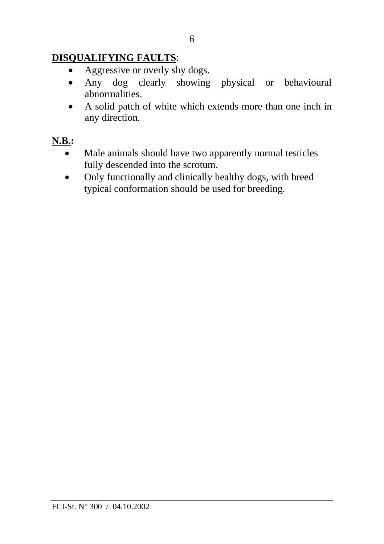# **DISQUALIFYING FAULTS**:

- Aggressive or overly shy dogs.
- Any dog clearly showing physical or behavioural abnormalities.
- A solid patch of white which extends more than one inch in any direction.

# **N.B.:**

- Male animals should have two apparently normal testicles fully descended into the scrotum.
- Only functionally and clinically healthy dogs, with breed typical conformation should be used for breeding.